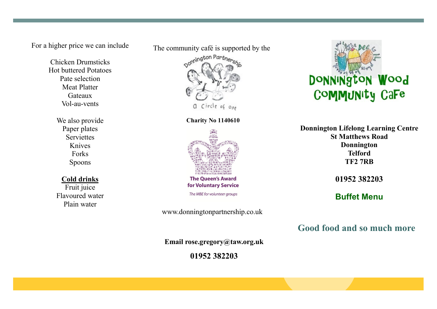For a higher price we can include

Chicken Drumsticks Hot buttered Potatoes Pate selection Meat Platter Gateaux Vol-au-vents

> We also provide Paper plates **Serviettes** Knives Forks Spoons

## **Cold drinks**

Fruit juice Flavoured water Plain water



**Charity No 1140610**



**The Queen's Award** for Voluntary Service

The MBE for volunteer groups

www.donningtonpartnership.co.uk

**Email rose.gregory@taw.org.uk**

**01952 382203**



**Donnington Lifelong Learning Centre St Matthews Road Donnington Telford TF2 7RB**

**01952 382203**

**Buffet Menu**

**Good food and so much more**